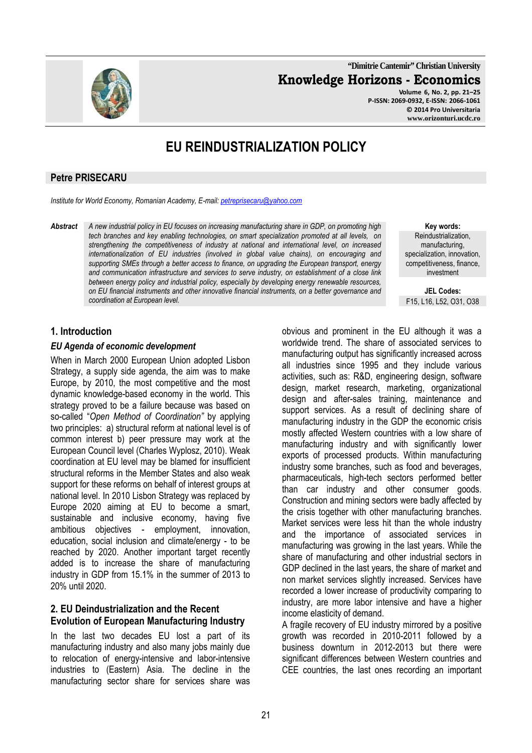

**"Dimitrie Cantemir" Christian University Knowledge Horizons - Economics Volume 6, No. 2, pp. 21–25** 

**P-ISSN: 2069-0932, E-ISSN: 2066-1061 © 2014 Pro Universitaria www.orizonturi.ucdc.ro**

# **EU REINDUSTRIALIZATION POLICY**

#### **Petre PRISECARU**

*Institute for World Economy, Romanian Academy, E-mail: petreprisecaru@yahoo.com*

*Abstract A new industrial policy in EU focuses on increasing manufacturing share in GDP, on promoting high tech branches and key enabling technologies, on smart specialization promoted at all levels, on strengthening the competitiveness of industry at national and international level, on increased internationalization of EU industries (involved in global value chains), on encouraging and supporting SMEs through a better access to finance, on upgrading the European transport, energy and communication infrastructure and services to serve industry, on establishment of a close link between energy policy and industrial policy, especially by developing energy renewable resources, on EU financial instruments and other innovative financial instruments, on a better governance and coordination at European level.* 

**Key words:** Reindustrialization, manufacturing, specialization, innovation, competitiveness, finance, investment

**JEL Codes:** F15, L16, L52, O31, O38

### **1. Introduction**

#### *EU Agenda of economic development*

When in March 2000 European Union adopted Lisbon Strategy, a supply side agenda, the aim was to make Europe, by 2010, the most competitive and the most dynamic knowledge-based economy in the world. This strategy proved to be a failure because was based on so-called "*Open Method of Coordination"* by applying two principles: a) structural reform at national level is of common interest b) peer pressure may work at the European Council level (Charles Wyplosz, 2010). Weak coordination at EU level may be blamed for insufficient structural reforms in the Member States and also weak support for these reforms on behalf of interest groups at national level. In 2010 Lisbon Strategy was replaced by Europe 2020 aiming at EU to become a smart, sustainable and inclusive economy, having five ambitious objectives - employment, innovation, education, social inclusion and climate/energy - to be reached by 2020. Another important target recently added is to increase the share of manufacturing industry in GDP from 15.1% in the summer of 2013 to 20% until 2020.

#### **2. EU Deindustrialization and the Recent Evolution of European Manufacturing Industry**

In the last two decades EU lost a part of its manufacturing industry and also many jobs mainly due to relocation of energy-intensive and labor-intensive industries to (Eastern) Asia. The decline in the manufacturing sector share for services share was obvious and prominent in the EU although it was a worldwide trend. The share of associated services to manufacturing output has significantly increased across all industries since 1995 and they include various activities, such as: R&D, engineering design, software design, market research, marketing, organizational design and after-sales training, maintenance and support services. As a result of declining share of manufacturing industry in the GDP the economic crisis mostly affected Western countries with a low share of manufacturing industry and with significantly lower exports of processed products. Within manufacturing industry some branches, such as food and beverages, pharmaceuticals, high-tech sectors performed better than car industry and other consumer goods. Construction and mining sectors were badly affected by the crisis together with other manufacturing branches. Market services were less hit than the whole industry and the importance of associated services in manufacturing was growing in the last years. While the share of manufacturing and other industrial sectors in GDP declined in the last years, the share of market and non market services slightly increased. Services have recorded a lower increase of productivity comparing to industry, are more labor intensive and have a higher income elasticity of demand.

A fragile recovery of EU industry mirrored by a positive growth was recorded in 2010-2011 followed by a business downturn in 2012-2013 but there were significant differences between Western countries and CEE countries, the last ones recording an important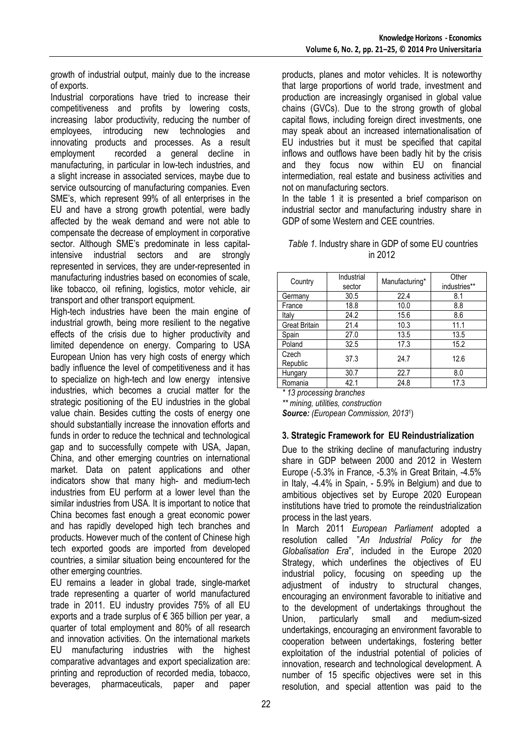growth of industrial output, mainly due to the increase of exports.

Industrial corporations have tried to increase their competitiveness and profits by lowering costs, increasing labor productivity, reducing the number of employees, introducing new technologies and innovating products and processes. As a result employment recorded a general decline in manufacturing, in particular in low-tech industries, and a slight increase in associated services, maybe due to service outsourcing of manufacturing companies. Even SME's, which represent 99% of all enterprises in the EU and have a strong growth potential, were badly affected by the weak demand and were not able to compensate the decrease of employment in corporative sector. Although SME's predominate in less capitalintensive industrial sectors and are strongly represented in services, they are under-represented in manufacturing industries based on economies of scale, like tobacco, oil refining, logistics, motor vehicle, air transport and other transport equipment.

High-tech industries have been the main engine of industrial growth, being more resilient to the negative effects of the crisis due to higher productivity and limited dependence on energy. Comparing to USA European Union has very high costs of energy which badly influence the level of competitiveness and it has to specialize on high-tech and low energy intensive industries, which becomes a crucial matter for the strategic positioning of the EU industries in the global value chain. Besides cutting the costs of energy one should substantially increase the innovation efforts and funds in order to reduce the technical and technological gap and to successfully compete with USA, Japan, China, and other emerging countries on international market. Data on patent applications and other indicators show that many high- and medium-tech industries from EU perform at a lower level than the similar industries from USA. It is important to notice that China becomes fast enough a great economic power and has rapidly developed high tech branches and products. However much of the content of Chinese high tech exported goods are imported from developed countries, a similar situation being encountered for the other emerging countries.

EU remains a leader in global trade, single-market trade representing a quarter of world manufactured trade in 2011. EU industry provides 75% of all EU exports and a trade surplus of € 365 billion per year, a quarter of total employment and 80% of all research and innovation activities. On the international markets EU manufacturing industries with the highest comparative advantages and export specialization are: printing and reproduction of recorded media, tobacco, beverages, pharmaceuticals, paper and paper

products, planes and motor vehicles. It is noteworthy that large proportions of world trade, investment and production are increasingly organised in global value chains (GVCs). Due to the strong growth of global capital flows, including foreign direct investments, one may speak about an increased internationalisation of EU industries but it must be specified that capital inflows and outflows have been badly hit by the crisis and they focus now within EU on financial intermediation, real estate and business activities and not on manufacturing sectors.

In the table 1 it is presented a brief comparison on industrial sector and manufacturing industry share in GDP of some Western and CEE countries.

| Table 1. Industry share in GDP of some EU countries |  |         |  |  |
|-----------------------------------------------------|--|---------|--|--|
|                                                     |  | in 2012 |  |  |

| Country              | Industrial<br>sector | Manufacturing* | Other<br>industries** |
|----------------------|----------------------|----------------|-----------------------|
| Germany              | 30.5                 | 22.4           | 8.1                   |
| France               | 18.8                 | 10.0           | 8.8                   |
| Italy                | 24.2                 | 15.6           | 8.6                   |
| <b>Great Britain</b> | 21.4                 | 10.3           | 11.1                  |
| Spain                | 27.0                 | 13.5           | 13.5                  |
| Poland               | 32.5                 | 17.3           | 15.2                  |
| Czech<br>Republic    | 37.3                 | 24.7           | 12.6                  |
| Hungary              | 30.7                 | 22.7           | 8.0                   |
| Romania              | 42.1                 | 24.8           | 17.3                  |

*\* 13 processing branches* 

*\*\* mining, utilities, construction Source: (European Commission, 2013*<sup>1</sup> )

### **3. Strategic Framework for EU Reindustrialization**

Due to the striking decline of manufacturing industry share in GDP between 2000 and 2012 in Western Europe (-5.3% in France, -5.3% in Great Britain, -4.5% in Italy, -4.4% in Spain, - 5.9% in Belgium) and due to ambitious objectives set by Europe 2020 European institutions have tried to promote the reindustrialization process in the last years.

In March 2011 *European Parliament* adopted a resolution called "*An Industrial Policy for the Globalisation Era*", included in the Europe 2020 Strategy, which underlines the objectives of EU industrial policy, focusing on speeding up the adjustment of industry to structural changes, encouraging an environment favorable to initiative and to the development of undertakings throughout the Union, particularly small and medium-sized undertakings, encouraging an environment favorable to cooperation between undertakings, fostering better exploitation of the industrial potential of policies of innovation, research and technological development. A number of 15 specific objectives were set in this resolution, and special attention was paid to the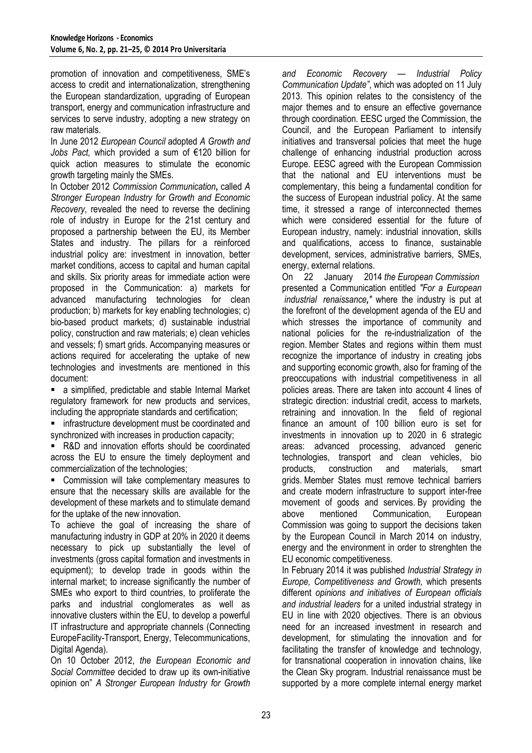promotion of innovation and competitiveness, SME's access to credit and internationalization, strengthening the European standardization, upgrading of European transport, energy and communication infrastructure and services to serve industry, adopting a new strategy on raw materials.

In June 2012 *European Council* adopted *A Growth and Jobs Pact,* which provided a sum of €120 billion for quick action measures to stimulate the economic growth targeting mainly the SMEs.

In October 2012 *Commission Communication***,** called *A Stronger European Industry for Growth and Economic Recovery*, revealed the need to reverse the declining role of industry in Europe for the 21st century and proposed a partnership between the EU, its Member States and industry. The pillars for a reinforced industrial policy are: investment in innovation, better market conditions, access to capital and human capital and skills. Six priority areas for immediate action were proposed in the Communication: a) markets for advanced manufacturing technologies for clean production; b) markets for key enabling technologies; c) bio-based product markets; d) sustainable industrial policy, construction and raw materials; e) clean vehicles and vessels; f) smart grids. Accompanying measures or actions required for accelerating the uptake of new technologies and investments are mentioned in this document:

 a simplified, predictable and stable Internal Market regulatory framework for new products and services, including the appropriate standards and certification;

**F** infrastructure development must be coordinated and synchronized with increases in production capacity;

 R&D and innovation efforts should be coordinated across the EU to ensure the timely deployment and commercialization of the technologies;

 Commission will take complementary measures to ensure that the necessary skills are available for the development of these markets and to stimulate demand for the uptake of the new innovation.

To achieve the goal of increasing the share of manufacturing industry in GDP at 20% in 2020 it deems necessary to pick up substantially the level of investments (gross capital formation and investments in equipment); to develop trade in goods within the internal market; to increase significantly the number of SMEs who export to third countries, to proliferate the parks and industrial conglomerates as well as innovative clusters within the EU, to develop a powerful IT infrastructure and appropriate channels (Connecting EuropeFacility-Transport, Energy, Telecommunications, Digital Agenda).

On 10 October 2012, *the European Economic and Social Committee* decided to draw up its own-initiative opinion on" *A Stronger European Industry for Growth* 

*and Economic Recovery — Industrial Policy Communication Update"*, which was adopted on 11 July 2013. This opinion relates to the consistency of the major themes and to ensure an effective governance through coordination. EESC urged the Commission, the Council, and the European Parliament to intensify initiatives and transversal policies that meet the huge challenge of enhancing industrial production across Europe. EESC agreed with the European Commission that the national and EU interventions must be complementary, this being a fundamental condition for the success of European industrial policy. At the same time, it stressed a range of interconnected themes which were considered essential for the future of European industry, namely: industrial innovation, skills and qualifications, access to finance, sustainable development, services, administrative barriers, SMEs, energy, external relations.

On 22 January 2014 *the European Commission* presented a Communication entitled *"For a European industrial renaissance,"* where the industry is put at the forefront of the development agenda of the EU and which stresses the importance of community and national policies for the re-industrialization of the region. Member States and regions within them must recognize the importance of industry in creating jobs and supporting economic growth, also for framing of the preoccupations with industrial competitiveness in all policies areas. There are taken into account 4 lines of strategic direction: industrial credit, access to markets, retraining and innovation. In the field of regional finance an amount of 100 billion euro is set for investments in innovation up to 2020 in 6 strategic areas: advanced processing, advanced generic technologies, transport and clean vehicles, bio products, construction and materials, smart grids. Member States must remove technical barriers and create modern infrastructure to support inter-free movement of goods and services. By providing the above mentioned Communication, European Commission was going to support the decisions taken by the European Council in March 2014 on industry, energy and the environment in order to strenghten the EU economic competitiveness.

In February 2014 it was published *Industrial Strategy in Europe, Competitiveness and Growth,* which presents different *opinions and initiatives of European officials and industrial leaders* for a united industrial strategy in EU in line with 2020 objectives. There is an obvious need for an increased investment in research and development, for stimulating the innovation and for facilitating the transfer of knowledge and technology, for transnational cooperation in innovation chains, like the Clean Sky program. Industrial renaissance must be supported by a more complete internal energy market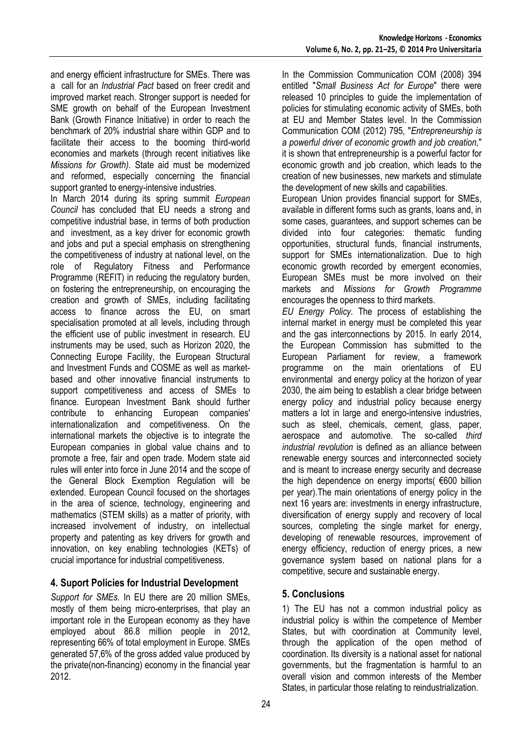and energy efficient infrastructure for SMEs. There was a call for an *Industrial Pact* based on freer credit and improved market reach. Stronger support is needed for SME growth on behalf of the European Investment Bank (Growth Finance Initiative) in order to reach the benchmark of 20% industrial share within GDP and to facilitate their access to the booming third-world economies and markets (through recent initiatives like *Missions for Growth).* State aid must be modernized and reformed, especially concerning the financial support granted to energy-intensive industries.

In March 2014 during its spring summit *European Council* has concluded that EU needs a strong and competitive industrial base, in terms of both production and investment, as a key driver for economic growth and jobs and put a special emphasis on strengthening the competitiveness of industry at national level, on the role of Regulatory Fitness and Performance Programme (REFIT) in reducing the regulatory burden, on fostering the entrepreneurship, on encouraging the creation and growth of SMEs, including facilitating access to finance across the EU, on smart specialisation promoted at all levels, including through the efficient use of public investment in research. EU instruments may be used, such as Horizon 2020, the Connecting Europe Facility, the European Structural and Investment Funds and COSME as well as marketbased and other innovative financial instruments to support competitiveness and access of SMEs to finance. European Investment Bank should further contribute to enhancing European companies' internationalization and competitiveness. On the international markets the objective is to integrate the European companies in global value chains and to promote a free, fair and open trade. Modern state aid rules will enter into force in June 2014 and the scope of the General Block Exemption Regulation will be extended. European Council focused on the shortages in the area of science, technology, engineering and mathematics (STEM skills) as a matter of priority, with increased involvement of industry, on intellectual property and patenting as key drivers for growth and innovation, on key enabling technologies (KETs) of crucial importance for industrial competitiveness.

## **4. Suport Policies for Industrial Development**

*Support for SMEs.* In EU there are 20 million SMEs, mostly of them being micro-enterprises, that play an important role in the European economy as they have employed about 86.8 million people in 2012, representing 66% of total employment in Europe. SMEs generated 57,6% of the gross added value produced by the private(non-financing) economy in the financial year 2012.

In the Commission Communication COM (2008) 394 entitled "*Small Business Act for Europe*" there were released 10 principles to guide the implementation of policies for stimulating economic activity of SMEs, both at EU and Member States level. In the Commission Communication COM (2012) 795, "*Entrepreneurship is a powerful driver of economic growth and job creation,*" it is shown that entrepreneurship is a powerful factor for economic growth and job creation, which leads to the creation of new businesses, new markets and stimulate the development of new skills and capabilities.

European Union provides financial support for SMEs, available in different forms such as grants, loans and, in some cases, guarantees, and support schemes can be divided into four categories: thematic funding opportunities, structural funds, financial instruments, support for SMEs internationalization. Due to high economic growth recorded by emergent economies, European SMEs must be more involved on their markets and *Missions for Growth Programme* encourages the openness to third markets.

*EU Energy Policy.* The process of establishing the internal market in energy must be completed this year and the gas interconnections by 2015. In early 2014, the European Commission has submitted to the European Parliament for review, a framework programme on the main orientations of EU environmental and energy policy at the horizon of year 2030, the aim being to establish a clear bridge between energy policy and industrial policy because energy matters a lot in large and energo-intensive industries, such as steel, chemicals, cement, glass, paper, aerospace and automotive. The so-called *third industrial revolution* is defined as an alliance between renewable energy sources and interconnected society and is meant to increase energy security and decrease the high dependence on energy imports( €600 billion per year).The main orientations of energy policy in the next 16 years are: investments in energy infrastructure, diversification of energy supply and recovery of local sources, completing the single market for energy, developing of renewable resources, improvement of energy efficiency, reduction of energy prices, a new governance system based on national plans for a competitive, secure and sustainable energy.

## **5. Conclusions**

1) The EU has not a common industrial policy as industrial policy is within the competence of Member States, but with coordination at Community level, through the application of the open method of coordination. Its diversity is a national asset for national governments, but the fragmentation is harmful to an overall vision and common interests of the Member States, in particular those relating to reindustrialization.